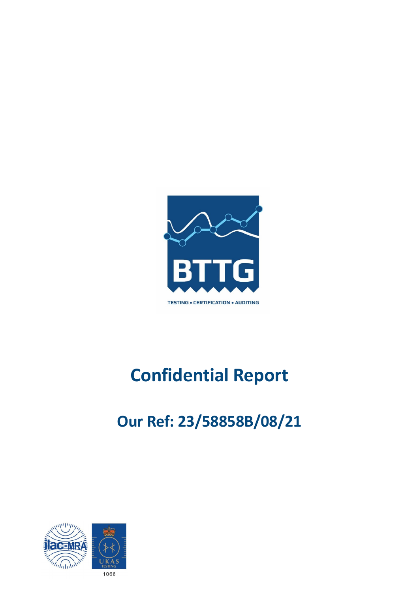

# **Confidential Report**

# **Our Ref: 23/58858B/08/21**

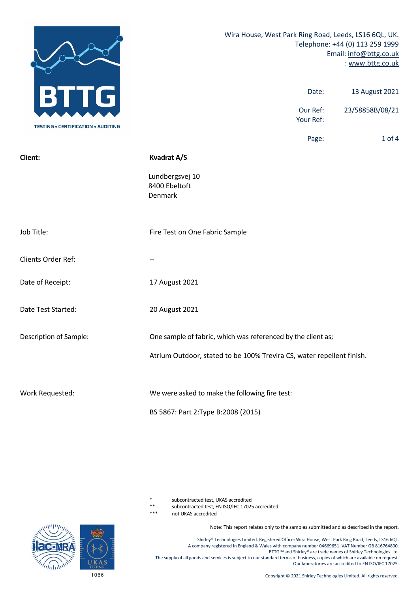|                                           | Wira House, West Park Ring Road, Leeds, LS16 6QL, UK.<br>Telephone: +44 (0) 113 259 1999<br>Email: info@bttg.co.uk<br>: www.bttg.co.uk |  |  |  |
|-------------------------------------------|----------------------------------------------------------------------------------------------------------------------------------------|--|--|--|
| G                                         | 13 August 2021<br>Date:                                                                                                                |  |  |  |
| <b>TESTING • CERTIFICATION • AUDITING</b> | 23/58858B/08/21<br>Our Ref:<br>Your Ref:                                                                                               |  |  |  |
|                                           | Page:<br>$1$ of $4$                                                                                                                    |  |  |  |
| Client:                                   | <b>Kvadrat A/S</b>                                                                                                                     |  |  |  |
|                                           | Lundbergsvej 10<br>8400 Ebeltoft<br>Denmark                                                                                            |  |  |  |
| Job Title:                                | Fire Test on One Fabric Sample                                                                                                         |  |  |  |
| Clients Order Ref:                        |                                                                                                                                        |  |  |  |
| Date of Receipt:                          | 17 August 2021                                                                                                                         |  |  |  |
| Date Test Started:                        | 20 August 2021                                                                                                                         |  |  |  |
| Description of Sample:                    | One sample of fabric, which was referenced by the client as;                                                                           |  |  |  |
|                                           | Atrium Outdoor, stated to be 100% Trevira CS, water repellent finish.                                                                  |  |  |  |
| Work Requested:                           | We were asked to make the following fire test:                                                                                         |  |  |  |
|                                           | BS 5867: Part 2: Type B: 2008 (2015)                                                                                                   |  |  |  |

subcontracted test, UKAS accredited

\*\* subcontracted test, EN ISO/IEC 17025 accredited

not UKAS accredited

Note: This report relates only to the samples submitted and as described in the report.

Shirley® Technologies Limited. Registered Office: Wira House, West Park Ring Road, Leeds, LS16 6QL. A company registered in England & Wales with company number 04669651. VAT Number GB 816764800. BTTG™ and Shirley® are trade names of Shirley Technologies Ltd. The supply of all goods and services is subject to our standard terms of business, copies of which are available on request. Our laboratories are accredited to EN ISO/IEC 17025.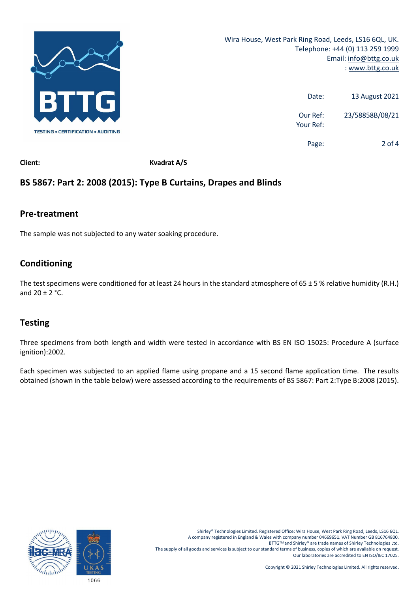

| 13 August 2021  | Date:                 |
|-----------------|-----------------------|
| 23/58858B/08/21 | Our Ref:<br>Your Ref: |
| 2 of 4          | Page:                 |

**Client: Kvadrat A/S**

# **BS 5867: Part 2: 2008 (2015): Type B Curtains, Drapes and Blinds**

### **Pre‐treatment**

The sample was not subjected to any water soaking procedure.

# **Conditioning**

The test specimens were conditioned for at least 24 hours in the standard atmosphere of  $65 \pm 5$  % relative humidity (R.H.) and  $20 + 2$  °C.

# **Testing**

Three specimens from both length and width were tested in accordance with BS EN ISO 15025: Procedure A (surface ignition):2002.

Each specimen was subjected to an applied flame using propane and a 15 second flame application time. The results obtained (shown in the table below) were assessed according to the requirements of BS 5867: Part 2:Type B:2008 (2015).



Shirley® Technologies Limited. Registered Office: Wira House, West Park Ring Road, Leeds, LS16 6QL. A company registered in England & Wales with company number 04669651. VAT Number GB 816764800. BTTGTM and Shirley® are trade names of Shirley Technologies Ltd. The supply of all goods and services is subject to our standard terms of business, copies of which are available on request. Our laboratories are accredited to EN ISO/IEC 17025.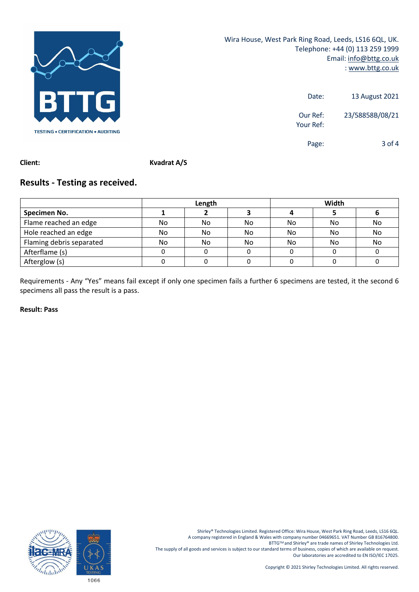

Wira House, West Park Ring Road, Leeds, LS16 6QL, UK. Telephone: +44 (0) 113 259 1999 Email: info@bttg.co.uk : www.bttg.co.uk

| 13 August 2021  | Date:                 |
|-----------------|-----------------------|
| 23/58858B/08/21 | Our Ref:<br>Your Ref: |
| 3 of $4$        | Page:                 |

**Client: Kvadrat A/S**

# **Results ‐ Testing as received.**

|                          | Length |    |    | Width |     |    |
|--------------------------|--------|----|----|-------|-----|----|
| Specimen No.             |        |    |    |       |     |    |
| Flame reached an edge    | No     | No | No | No    | No  | No |
| Hole reached an edge     | No     | No | No | No.   | No. | No |
| Flaming debris separated | No     | No | No | No    | No  | No |
| Afterflame (s)           |        |    |    |       |     |    |
| Afterglow (s)            |        |    |    |       |     |    |

Requirements ‐ Any "Yes" means fail except if only one specimen fails a further 6 specimens are tested, it the second 6 specimens all pass the result is a pass.

### **Result: Pass**

Shirley® Technologies Limited. Registered Office: Wira House, West Park Ring Road, Leeds, LS16 6QL. A company registered in England & Wales with company number 04669651. VAT Number GB 816764800. BTTGTM and Shirley® are trade names of Shirley Technologies Ltd. The supply of all goods and services is subject to our standard terms of business, copies of which are available on request. Our laboratories are accredited to EN ISO/IEC 17025.